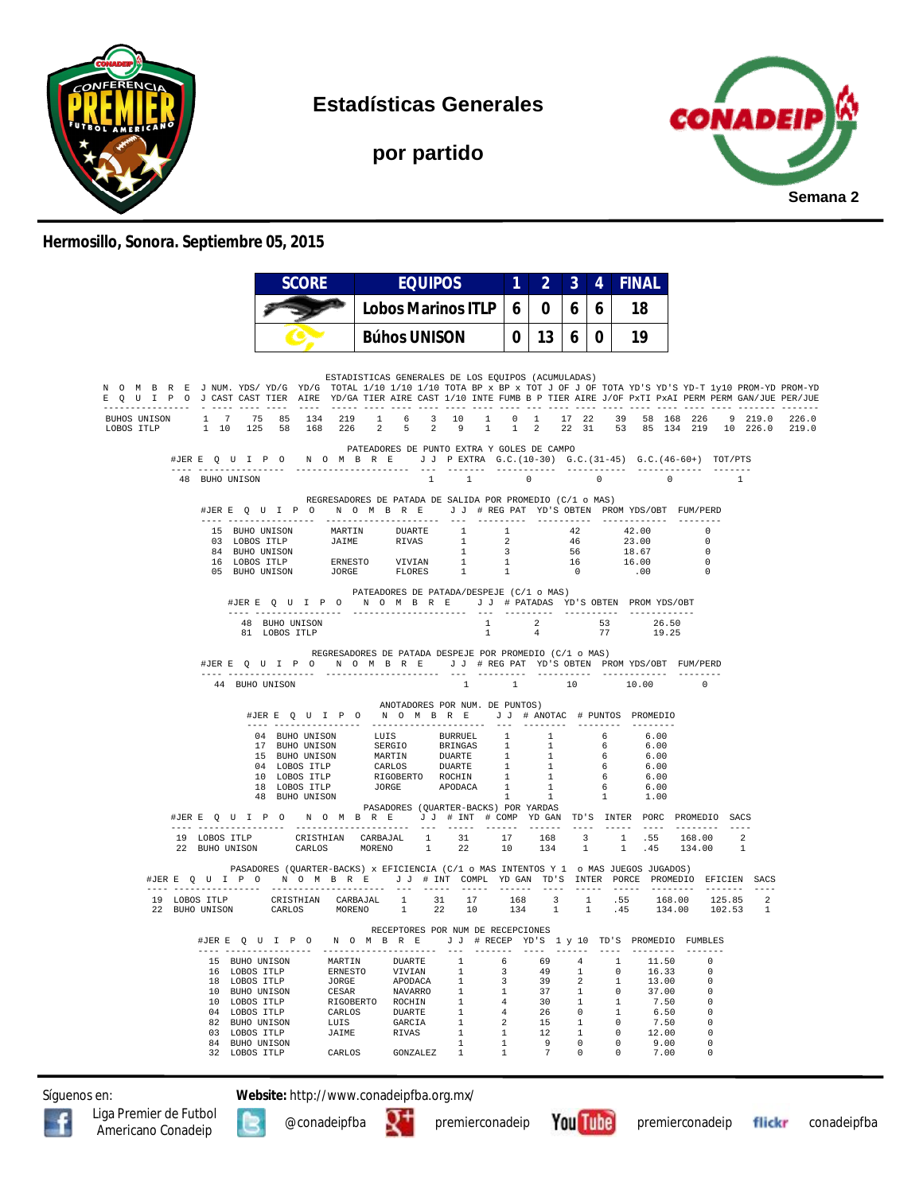

**Estadísticas Generales**

**por partido**



## **Hermosillo, Sonora. Septiembre 05, 2015**

|                                                                                                                                                                                                                                                        | <b>SCORE</b>                                                                                                                                                                                                                                                                                                                                                                        |                       | <b>EQUIPOS</b>                                                                                                                                                                                                                                                                                                                                                                                                                                                      |                                                                | 2<br>1.                                                                  | 3                                                                                                      | 4                                                                                   | <b>FINAL</b>                                                               |                                            |                                                                                             |  |
|--------------------------------------------------------------------------------------------------------------------------------------------------------------------------------------------------------------------------------------------------------|-------------------------------------------------------------------------------------------------------------------------------------------------------------------------------------------------------------------------------------------------------------------------------------------------------------------------------------------------------------------------------------|-----------------------|---------------------------------------------------------------------------------------------------------------------------------------------------------------------------------------------------------------------------------------------------------------------------------------------------------------------------------------------------------------------------------------------------------------------------------------------------------------------|----------------------------------------------------------------|--------------------------------------------------------------------------|--------------------------------------------------------------------------------------------------------|-------------------------------------------------------------------------------------|----------------------------------------------------------------------------|--------------------------------------------|---------------------------------------------------------------------------------------------|--|
|                                                                                                                                                                                                                                                        |                                                                                                                                                                                                                                                                                                                                                                                     |                       | <b>Lobos Marinos ITLP</b>                                                                                                                                                                                                                                                                                                                                                                                                                                           | 6                                                              | 0                                                                        | 6                                                                                                      | 6                                                                                   | 18                                                                         |                                            |                                                                                             |  |
|                                                                                                                                                                                                                                                        |                                                                                                                                                                                                                                                                                                                                                                                     |                       | <b>Búhos UNISON</b>                                                                                                                                                                                                                                                                                                                                                                                                                                                 |                                                                | 13<br>0                                                                  | 6                                                                                                      | $\bf{0}$                                                                            | 19                                                                         |                                            |                                                                                             |  |
| N O M B R E J NUM. YDS/YD/G YD/G TOTAL 1/10 1/10 1/10 TOTA BP x BP x TOT J OF J OF TOTA YD'S YD-T 1y10 PROM-YD PROM-YD<br>E Q U I P O J CAST CAST TIER AIRE YD/GA TIER AIRE CAST 1/10 INTE FUMB B P TIER AIRE J/OF PXTI PXAI PERM PERM GAN/JUE PER/JUE |                                                                                                                                                                                                                                                                                                                                                                                     |                       | ESTADISTICAS GENERALES DE LOS EQUIPOS (ACUMULADAS)                                                                                                                                                                                                                                                                                                                                                                                                                  |                                                                |                                                                          |                                                                                                        |                                                                                     |                                                                            |                                            |                                                                                             |  |
| BUHOS UNISON<br>LOBOS ITLP                                                                                                                                                                                                                             | 1 7 75 85 134 219 1 6 3 10 1 0 1 17 22 39 58 168 226 9 219.0 226.0<br>1 10 125 58 168 226 2 5 2 9 1 1 2 22 31 53 85 134 219 10 226.0 219.0                                                                                                                                                                                                                                          |                       |                                                                                                                                                                                                                                                                                                                                                                                                                                                                     |                                                                |                                                                          |                                                                                                        |                                                                                     |                                                                            |                                            |                                                                                             |  |
|                                                                                                                                                                                                                                                        | #JERE Q U I P O N O M B R E J J P EXTRA G.C. (10-30) G.C. (31-45) G.C. (46-60+) TOT/PTS                                                                                                                                                                                                                                                                                             |                       | PATEADORES DE PUNTO EXTRA Y GOLES DE CAMPO                                                                                                                                                                                                                                                                                                                                                                                                                          |                                                                |                                                                          |                                                                                                        |                                                                                     |                                                                            |                                            |                                                                                             |  |
| 48 BUHO UNISON                                                                                                                                                                                                                                         |                                                                                                                                                                                                                                                                                                                                                                                     |                       | $\overline{1}$<br>$\sim$ 1                                                                                                                                                                                                                                                                                                                                                                                                                                          |                                                                | $\sim$ 0                                                                 |                                                                                                        | $\sim$ 0                                                                            | $\overline{0}$                                                             |                                            |                                                                                             |  |
|                                                                                                                                                                                                                                                        | #JERE QUIPO NOMBRE JJ #REGPAT YD'S OBTEN PROMYDS/OBT FUM/PERD<br>. <u>.</u> .                                                                                                                                                                                                                                                                                                       | -------------------   | REGRESADORES DE PATADA DE SALIDA POR PROMEDIO (C/1 o MAS)<br>$- - -$                                                                                                                                                                                                                                                                                                                                                                                                | ----------                                                     |                                                                          | -----------                                                                                            |                                                                                     | -------------                                                              |                                            |                                                                                             |  |
|                                                                                                                                                                                                                                                        | 15 BUHO UNISON MARTIN DUARTE<br>03 LOBOS ITLP                                                                                                                                                                                                                                                                                                                                       | <b>JAIME</b>          | RIVAS                                                                                                                                                                                                                                                                                                                                                                                                                                                               | $\begin{array}{ccc} 1 & & 1 \\ 1 & & 2 \\ 1 & & 3 \end{array}$ |                                                                          |                                                                                                        |                                                                                     | $42$ $42.00$<br>$46$ $23.00$<br>23.00                                      | $\Omega$                                   | $\Omega$                                                                                    |  |
|                                                                                                                                                                                                                                                        | 84 BUHO UNISON                                                                                                                                                                                                                                                                                                                                                                      |                       |                                                                                                                                                                                                                                                                                                                                                                                                                                                                     | $\begin{array}{ccc} & 1 & & 1 \\ & 1 & & 1 \end{array}$<br>1   |                                                                          | 56<br>16                                                                                               |                                                                                     | 18.67<br>16.00                                                             | $\overline{0}$<br>$\overline{\phantom{0}}$ |                                                                                             |  |
|                                                                                                                                                                                                                                                        |                                                                                                                                                                                                                                                                                                                                                                                     |                       |                                                                                                                                                                                                                                                                                                                                                                                                                                                                     |                                                                |                                                                          | $\overline{0}$                                                                                         |                                                                                     | 00.                                                                        | $\overline{\phantom{0}}$                   |                                                                                             |  |
|                                                                                                                                                                                                                                                        | #JERE Q U I P O N O M B R E J J # PATADAS YD'S OBTEN PROMYDS/OBT                                                                                                                                                                                                                                                                                                                    |                       | PATEADORES DE PATADA/DESPEJE (C/1 o MAS)                                                                                                                                                                                                                                                                                                                                                                                                                            |                                                                |                                                                          |                                                                                                        |                                                                                     |                                                                            |                                            |                                                                                             |  |
|                                                                                                                                                                                                                                                        | 48 BUHO UNISON<br>81 LOBOS ITLP                                                                                                                                                                                                                                                                                                                                                     |                       |                                                                                                                                                                                                                                                                                                                                                                                                                                                                     | $\mathbf{1}$                                                   | $\overline{4}$                                                           |                                                                                                        | 77                                                                                  | 1 2 53 26.50<br>19.25                                                      |                                            |                                                                                             |  |
|                                                                                                                                                                                                                                                        | #JERE QUIPO NOMBRE JJ #REGPAT YD'S OBTEN PROMYDS/OBT FUM/PERD<br>44 BUHO UNISON                                                                                                                                                                                                                                                                                                     |                       | REGRESADORES DE PATADA DESPEJE POR PROMEDIO (C/1 o MAS)<br>$\overline{1}$<br>ANOTADORES POR NUM. DE PUNTOS)                                                                                                                                                                                                                                                                                                                                                         | $\sim$ $-1$ $-$                                                |                                                                          | 10                                                                                                     |                                                                                     | 10.00                                                                      | $\Omega$                                   |                                                                                             |  |
|                                                                                                                                                                                                                                                        | 04 BUHO UNISON<br>48 BUHO UNISON                                                                                                                                                                                                                                                                                                                                                    |                       | #JERE Q U I P O N O M B R E J J # ANOTAC # PUNTOS PROMEDIO<br>$\begin{tabular}{cccc} 04 & BUBO UNISON & LUIS & BURRUEL & 1 & 1 \\ 17 & BUBO UNISON & SERCIO & BRINGAS & 1 & 1 \\ 15 & BUBO UNISON & MARTIN & DUARTE & 1 & 1 \\ 04 & LOBOS ITLP & CARLOS & DUARTE & 1 & 1 \\ 10 & LOBOS ITLP & RIGOBERTO & ROCHIN & 1 & 1 \\ 16 & LOBOS ITLP & JORGE & APODACA & 1 & 1 \\ 48 & RIHO UNTSON & & & & & 1 & 1 \\ \end{tabular}$<br>PASADORES (QUARTER-BACKS) POR YARDAS | $\overline{1}$                                                 |                                                                          |                                                                                                        | $\mathbf{1}$                                                                        | 6.00<br>6.00<br>6.00<br>6.00<br>6.00<br>6.00<br>1.00                       |                                            |                                                                                             |  |
|                                                                                                                                                                                                                                                        | #JERE Q U I P O N O M B R E J J # INT # COMP YD GAN TD'S INTER PORC PROMEDIO SACS                                                                                                                                                                                                                                                                                                   |                       |                                                                                                                                                                                                                                                                                                                                                                                                                                                                     |                                                                |                                                                          |                                                                                                        |                                                                                     |                                                                            |                                            |                                                                                             |  |
|                                                                                                                                                                                                                                                        | $\begin{tabular}{lcccccc} 19 & LOBOS ITLP & CRISTHIAN & CARBAJAL & 1 & 31 & 17 & 168 & 3 & 1 & .55 & 168.00 & 2 \\ 22 & BUBO UNISON & CARLOS & MOREND & 1 & 22 & 10 & 134 & 1 & 1 & .45 & 134.00 & 1 \\ \end{tabular}$                                                                                                                                                              |                       |                                                                                                                                                                                                                                                                                                                                                                                                                                                                     |                                                                |                                                                          |                                                                                                        |                                                                                     |                                                                            |                                            |                                                                                             |  |
|                                                                                                                                                                                                                                                        | PASADORES (QUARTER-BACKS) x EFICIENCIA (C/1 o MAS INTENTOS Y 1 o MAS JUEGOS JUGADOS)<br>#JERE Q U I P O N O M B R E J J # INT COMPL YDGAN TD'S INTER PORCE PROMEDIO EFICIEN SACS                                                                                                                                                                                                    |                       |                                                                                                                                                                                                                                                                                                                                                                                                                                                                     |                                                                |                                                                          |                                                                                                        |                                                                                     |                                                                            |                                            |                                                                                             |  |
|                                                                                                                                                                                                                                                        | $19 \hbox{\tt\ LODDOS}} {\hbox{\tt\ TTLP}} {\hbox{\tt\tt CRISTHIAN}} \hbox{\tt\tt\ CARBAJAL} \hbox{\tt\tt\!1} \hbox{\tt\tt 31} \hbox{\tt\tt 17} \hbox{\tt\tt 168} \hbox{\tt\tt 3} \hbox{\tt\tt 1} \hbox{\tt\tt .55} \hbox{\tt\tt 168.00} \hbox{\tt\tt 125.85} \hbox{\tt\tt 2} \hbox{\tt\tt 2} \\ 20 \hbox{\tt\tt BUBO}} {\hbox{\tt\tt UNISO}} \hbox{\tt\tt\nCARLOS} {\hbox{\tt\tt\$ |                       |                                                                                                                                                                                                                                                                                                                                                                                                                                                                     |                                                                |                                                                          |                                                                                                        |                                                                                     |                                                                            |                                            |                                                                                             |  |
|                                                                                                                                                                                                                                                        | #JERE QUIPO NOMBRE JJ #RECEP YD'S 1 y 10 TD'S PROMEDIO FUMBLES<br>--- --------<br>------                                                                                                                                                                                                                                                                                            | --------------------- | RECEPTORES POR NUM DE RECEPCIONES<br>$---$                                                                                                                                                                                                                                                                                                                                                                                                                          | $- - - - - - - -$                                              | $- - - -$                                                                | $- - - - - - -$                                                                                        |                                                                                     | ---------                                                                  |                                            |                                                                                             |  |
|                                                                                                                                                                                                                                                        |                                                                                                                                                                                                                                                                                                                                                                                     |                       | $\begin{array}{c} 1 \\ 1 \end{array}$<br>1<br>1                                                                                                                                                                                                                                                                                                                                                                                                                     | $4\overline{4}$<br>4<br>$\sim$ 2                               | 69<br>49<br>39<br>15 1                                                   | 4 <sub>1</sub><br>$\overline{\phantom{a}}$<br>$\overline{\mathbf{2}}$<br>37 1<br>$30 \qquad 1$<br>26 0 | $\mathbf{1}$<br>$\Omega$<br>$\overline{1}$<br>$\overline{0}$<br>1<br>$\overline{1}$ | 11.50<br>16.33<br>13.00<br>37.00<br>7.50<br>6.50<br>$\overline{0}$<br>7.50 | $\overline{\phantom{0}}$                   | $\mathbf{0}$<br>$\bigcirc$<br>$\overline{0}$<br>$\Omega$<br>$\overline{\phantom{0}}$<br>- 0 |  |
|                                                                                                                                                                                                                                                        | 84 BUHO UNISON<br>32 LOBOS ITLP                                                                                                                                                                                                                                                                                                                                                     |                       | 1<br>1<br>CARLOS GONZALEZ 1                                                                                                                                                                                                                                                                                                                                                                                                                                         | $\mathbf{1}$<br>1<br>1                                         | 12 1<br>$\begin{array}{cccc} 9 & & 0 & & 0 \\ 7 & & 0 & & 0 \end{array}$ |                                                                                                        |                                                                                     | $0 \t 12.00$<br>9.00<br>7.00                                               | $\overline{0}$                             | $\Omega$<br>$\Omega$                                                                        |  |

Síguenos en: **Website:** http://www.conadeipfba.org.mx/